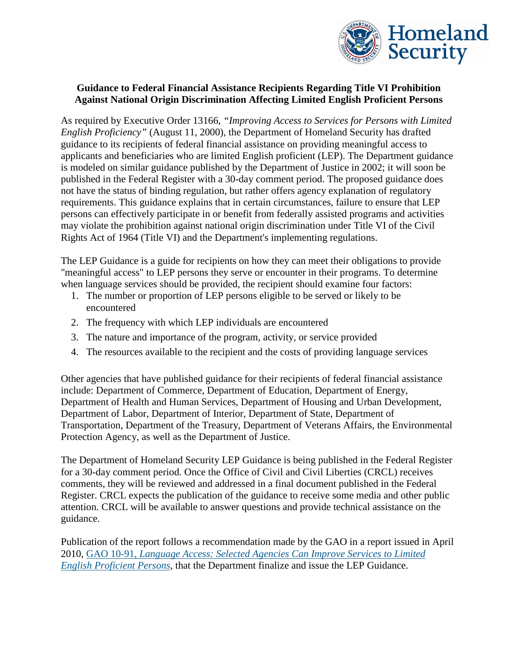

## **Guidance to Federal Financial Assistance Recipients Regarding Title VI Prohibition Against National Origin Discrimination Affecting Limited English Proficient Persons**

As required by Executive Order 13166, *"Improving Access to Services for Persons with Limited English Proficiency"* (August 11, 2000), the Department of Homeland Security has drafted guidance to its recipients of federal financial assistance on providing meaningful access to applicants and beneficiaries who are limited English proficient (LEP). The Department guidance is modeled on similar guidance published by the Department of Justice in 2002; it will soon be published in the Federal Register with a 30-day comment period. The proposed guidance does not have the status of binding regulation, but rather offers agency explanation of regulatory requirements. This guidance explains that in certain circumstances, failure to ensure that LEP persons can effectively participate in or benefit from federally assisted programs and activities may violate the prohibition against national origin discrimination under Title VI of the Civil Rights Act of 1964 (Title VI) and the Department's implementing regulations.

The LEP Guidance is a guide for recipients on how they can meet their obligations to provide "meaningful access" to LEP persons they serve or encounter in their programs. To determine when language services should be provided, the recipient should examine four factors:

- 1. The number or proportion of LEP persons eligible to be served or likely to be encountered
- 2. The frequency with which LEP individuals are encountered
- 3. The nature and importance of the program, activity, or service provided
- 4. The resources available to the recipient and the costs of providing language services

Other agencies that have published guidance for their recipients of federal financial assistance include: Department of Commerce, Department of Education, Department of Energy, Department of Health and Human Services, Department of Housing and Urban Development, Department of Labor, Department of Interior, Department of State, Department of Transportation, Department of the Treasury, Department of Veterans Affairs, the Environmental Protection Agency, as well as the Department of Justice.

The Department of Homeland Security LEP Guidance is being published in the Federal Register for a 30-day comment period. Once the Office of Civil and Civil Liberties (CRCL) receives comments, they will be reviewed and addressed in a final document published in the Federal Register. CRCL expects the publication of the guidance to receive some media and other public attention. CRCL will be available to answer questions and provide technical assistance on the guidance.

Publication of the report follows a recommendation made by the GAO in a report issued in April 2010, GAO 10-91, *[Language](http://www.gao.gov/products/GAO-10-91) Access: Selected Agencies Can Improve Services to Limited English [Proficient](http://www.gao.gov/products/GAO-10-91) Persons*, that the Department finalize and issue the LEP Guidance.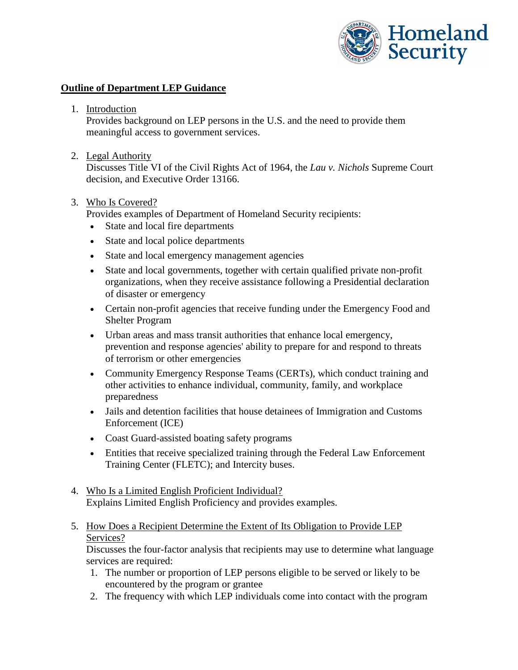

## **Outline of Department LEP Guidance**

1. Introduction

Provides background on LEP persons in the U.S. and the need to provide them meaningful access to government services.

2. Legal Authority

Discusses Title VI of the Civil Rights Act of 1964, the *Lau v. Nichols* Supreme Court decision, and Executive Order 13166.

## 3. Who Is Covered?

Provides examples of Department of Homeland Security recipients:

- State and local fire departments
- State and local police departments
- State and local emergency management agencies
- State and local governments, together with certain qualified private non-profit organizations, when they receive assistance following a Presidential declaration of disaster or emergency
- Certain non-profit agencies that receive funding under the Emergency Food and Shelter Program
- Urban areas and mass transit authorities that enhance local emergency, prevention and response agencies' ability to prepare for and respond to threats of terrorism or other emergencies
- Community Emergency Response Teams (CERTs), which conduct training and other activities to enhance individual, community, family, and workplace preparedness
- Jails and detention facilities that house detainees of Immigration and Customs Enforcement (ICE)
- Coast Guard-assisted boating safety programs
- Entities that receive specialized training through the Federal Law Enforcement Training Center (FLETC); and Intercity buses.
- 4. Who Is a Limited English Proficient Individual? Explains Limited English Proficiency and provides examples.
- 5. How Does a Recipient Determine the Extent of Its Obligation to Provide LEP Services?

Discusses the four-factor analysis that recipients may use to determine what language services are required:

- 1. The number or proportion of LEP persons eligible to be served or likely to be encountered by the program or grantee
- 2. The frequency with which LEP individuals come into contact with the program